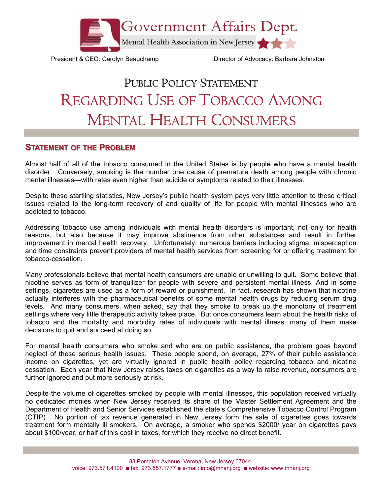

President & CEO: Carolyn Beauchamp Director of Advocacy: Barbara Johnston

## PUBLIC POLICY STATEMENT REGARDING USE OF TOBACCO AMONG MENTAL HEALTH CONSUMERS

## **STATEMENT OF THE PROBLEM**

Almost half of all of the tobacco consumed in the United States is by people who have a mental health disorder. Conversely, smoking is the number one cause of premature death among people with chronic mental illnesses—with rates even higher than suicide or symptoms related to their illnesses.

Despite these startling statistics, New Jersey's public health system pays very little attention to these critical issues related to the long-term recovery of and quality of life for people with mental illnesses who are addicted to tobacco.

Addressing tobacco use among individuals with mental health disorders is important, not only for health reasons, but also because it may improve abstinence from other substances and result in further improvement in mental health recovery. Unfortunately, numerous barriers including stigma, misperception and time constraints prevent providers of mental health services from screening for or offering treatment for tobacco-cessation.

Many professionals believe that mental health consumers are unable or unwilling to quit. Some believe that nicotine serves as form of tranquilizer for people with severe and persistent mental illness. And in some settings, cigarettes are used as a form of reward or punishment. In fact, research has shown that nicotine actually interferes with the pharmaceutical benefits of some mental health drugs by reducing serum drug levels. And many consumers, when asked, say that they smoke to break up the monotony of treatment settings where very little therapeutic activity takes place. But once consumers learn about the health risks of tobacco and the mortality and morbidity rates of individuals with mental illness, many of them make decisions to quit and succeed at doing so.

For mental health consumers who smoke and who are on public assistance, the problem goes beyond neglect of these serious health issues. These people spend, on average, 27% of their public assistance income on cigarettes, yet are virtually ignored in public health policy regarding tobacco and nicotine cessation. Each year that New Jersey raises taxes on cigarettes as a way to raise revenue, consumers are further ignored and put more seriously at risk.

Despite the volume of cigarettes smoked by people with mental illnesses, this population received virtually no dedicated monies when New Jersey received its share of the Master Settlement Agreement and the Department of Health and Senior Services established the state's Comprehensive Tobacco Control Program (CTIP). No portion of tax revenue generated in New Jersey form the sale of cigarettes goes towards treatment form mentally ill smokers. On average, a smoker who spends \$2000/ year on cigarettes pays about \$100/year, or half of this cost in taxes, for which they receive no direct benefit.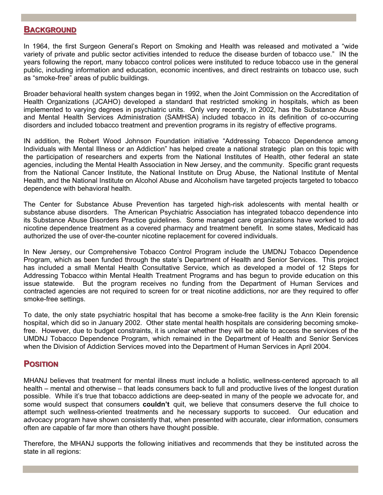## **BACKGROUND**

In 1964, the first Surgeon General's Report on Smoking and Health was released and motivated a "wide variety of private and public sector activities intended to reduce the disease burden of tobacco use." IN the years following the report, many tobacco control polices were instituted to reduce tobacco use in the general public, including information and education, economic incentives, and direct restraints on tobacco use, such as "smoke-free" areas of public buildings.

Broader behavioral health system changes began in 1992, when the Joint Commission on the Accreditation of Health Organizations (JCAHO) developed a standard that restricted smoking in hospitals, which as been implemented to varying degrees in psychiatric units. Only very recently, in 2002, has the Substance Abuse and Mental Health Services Administration (SAMHSA) included tobacco in its definition of co-occurring disorders and included tobacco treatment and prevention programs in its registry of effective programs.

IN addition, the Robert Wood Johnson Foundation initiative "Addressing Tobacco Dependence among Individuals with Mental Illness or an Addiction" has helped create a national strategic plan on this topic with the participation of researchers and experts from the National Institutes of Health, other federal an state agencies, including the Mental Health Association in New Jersey, and the community. Specific grant requests from the National Cancer Institute, the National Institute on Drug Abuse, the National Institute of Mental Health, and the National Institute on Alcohol Abuse and Alcoholism have targeted projects targeted to tobacco dependence with behavioral health.

The Center for Substance Abuse Prevention has targeted high-risk adolescents with mental health or substance abuse disorders. The American Psychiatric Association has integrated tobacco dependence into its Substance Abuse Disorders Practice guidelines. Some managed care organizations have worked to add nicotine dependence treatment as a covered pharmacy and treatment benefit. In some states, Medicaid has authorized the use of over-the-counter nicotine replacement for covered individuals.

In New Jersey, our Comprehensive Tobacco Control Program include the UMDNJ Tobacco Dependence Program, which as been funded through the state's Department of Health and Senior Services. This project has included a small Mental Health Consultative Service, which as developed a model of 12 Steps for Addressing Tobacco within Mental Health Treatment Programs and has begun to provide education on this issue statewide. But the program receives no funding from the Department of Human Services and contracted agencies are not required to screen for or treat nicotine addictions, nor are they required to offer smoke-free settings.

To date, the only state psychiatric hospital that has become a smoke-free facility is the Ann Klein forensic hospital, which did so in January 2002. Other state mental health hospitals are considering becoming smokefree. However, due to budget constraints, it is unclear whether they will be able to access the services of the UMDNJ Tobacco Dependence Program, which remained in the Department of Health and Senior Services when the Division of Addiction Services moved into the Department of Human Services in April 2004.

## **POSITION OSITION**

MHANJ believes that treatment for mental illness must include a holistic, wellness-centered approach to all health – mental and otherwise – that leads consumers back to full and productive lives of the longest duration possible. While it's true that tobacco addictions are deep-seated in many of the people we advocate for, and some would suspect that consumers **couldn't** quit, we believe that consumers deserve the full choice to attempt such wellness-oriented treatments and he necessary supports to succeed. Our education and advocacy program have shown consistently that, when presented with accurate, clear information, consumers often are capable of far more than others have thought possible.

Therefore, the MHANJ supports the following initiatives and recommends that they be instituted across the state in all regions: